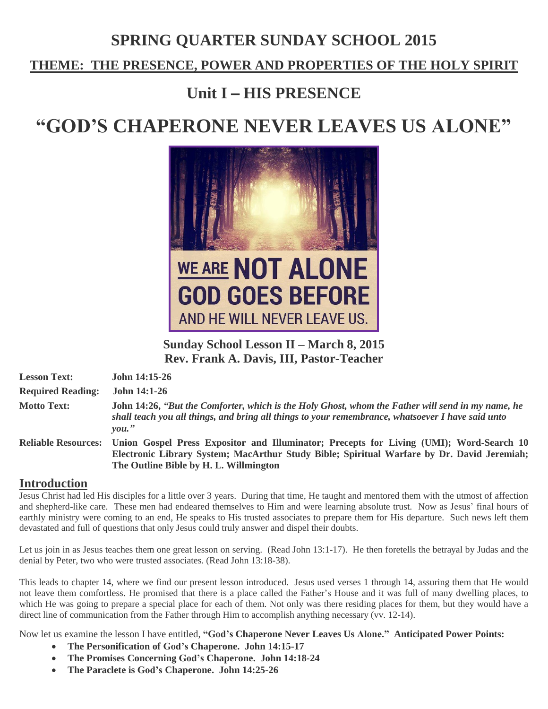# **SPRING QUARTER SUNDAY SCHOOL 2015**

## **THEME: THE PRESENCE, POWER AND PROPERTIES OF THE HOLY SPIRIT**

# **Unit I** – **HIS PRESENCE**

# **"GOD'S CHAPERONE NEVER LEAVES US ALONE"**



**Sunday School Lesson II – March 8, 2015 Rev. Frank A. Davis, III, Pastor-Teacher**

| <b>Lesson Text:</b>      | <b>John 14:15-26</b>                                                                                                                                                                                               |
|--------------------------|--------------------------------------------------------------------------------------------------------------------------------------------------------------------------------------------------------------------|
| <b>Required Reading:</b> | <b>John 14:1-26</b>                                                                                                                                                                                                |
| <b>Motto Text:</b>       | John 14:26, "But the Comforter, which is the Holy Ghost, whom the Father will send in my name, he<br>shall teach you all things, and bring all things to your remembrance, whatsoever I have said unto<br>$you.$ " |
|                          | Reliable Resources: Union Gospel Press Expositor and Illuminator; Precepts for Living (UMI); Word-Search 10<br>Electronic Library System; MacArthur Study Bible; Spiritual Warfare by Dr. David Jeremiah;          |

### **The Outline Bible by H. L. Willmington**

#### **Introduction**

Jesus Christ had led His disciples for a little over 3 years. During that time, He taught and mentored them with the utmost of affection and shepherd-like care. These men had endeared themselves to Him and were learning absolute trust. Now as Jesus' final hours of earthly ministry were coming to an end, He speaks to His trusted associates to prepare them for His departure. Such news left them devastated and full of questions that only Jesus could truly answer and dispel their doubts.

Let us join in as Jesus teaches them one great lesson on serving. (Read John 13:1-17). He then foretells the betrayal by Judas and the denial by Peter, two who were trusted associates. (Read John 13:18-38).

This leads to chapter 14, where we find our present lesson introduced. Jesus used verses 1 through 14, assuring them that He would not leave them comfortless. He promised that there is a place called the Father's House and it was full of many dwelling places, to which He was going to prepare a special place for each of them. Not only was there residing places for them, but they would have a direct line of communication from the Father through Him to accomplish anything necessary (vv. 12-14).

Now let us examine the lesson I have entitled, **"God's Chaperone Never Leaves Us Alone." Anticipated Power Points:**

- **The Personification of God's Chaperone. John 14:15-17**
- **The Promises Concerning God's Chaperone. John 14:18-24**
- **The Paraclete is God's Chaperone. John 14:25-26**